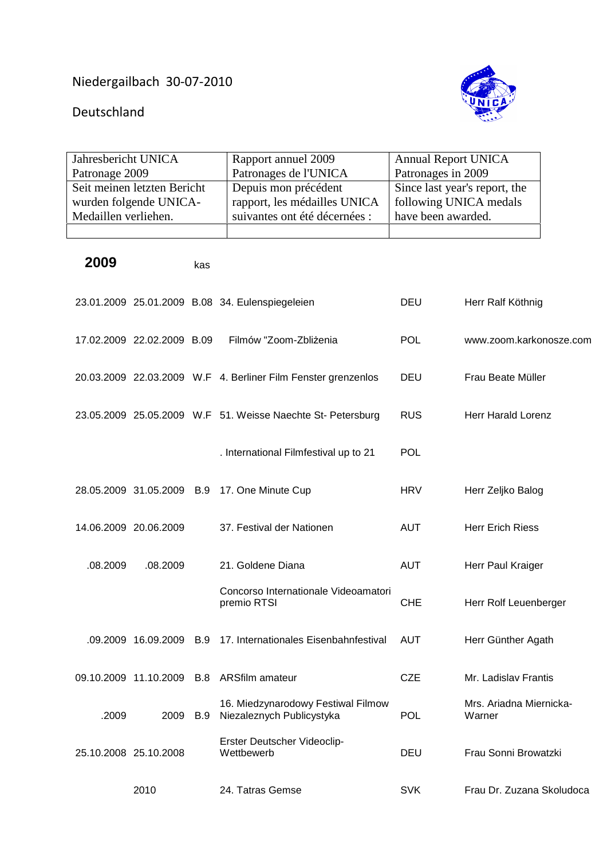## Niedergailbach 30-07-2010

## Deutschland

| Jahresbericht UNICA         |                            |            | Rapport annuel 2009                                             | <b>Annual Report UNICA</b>    |                                   |
|-----------------------------|----------------------------|------------|-----------------------------------------------------------------|-------------------------------|-----------------------------------|
| Patronage 2009              |                            |            | Patronages de l'UNICA                                           | Patronages in 2009            |                                   |
| Seit meinen letzten Bericht |                            |            | Depuis mon précédent                                            | Since last year's report, the |                                   |
| wurden folgende UNICA-      |                            |            | rapport, les médailles UNICA                                    | following UNICA medals        |                                   |
| Medaillen verliehen.        |                            |            | suivantes ont été décernées :                                   | have been awarded.            |                                   |
|                             |                            |            |                                                                 |                               |                                   |
| 2009                        |                            | kas        |                                                                 |                               |                                   |
|                             |                            |            | 23.01.2009 25.01.2009 B.08 34. Eulenspiegeleien                 | <b>DEU</b>                    | Herr Ralf Köthnig                 |
|                             | 17.02.2009 22.02.2009 B.09 |            | Filmów "Zoom-Zbliżenia                                          | <b>POL</b>                    | www.zoom.karkonosze.com           |
|                             |                            |            | 20.03.2009 22.03.2009 W.F 4. Berliner Film Fenster grenzenlos   | <b>DEU</b>                    | Frau Beate Müller                 |
|                             |                            |            | 23.05.2009 25.05.2009 W.F 51. Weisse Naechte St- Petersburg     | <b>RUS</b>                    | Herr Harald Lorenz                |
|                             |                            |            | . International Filmfestival up to 21                           | <b>POL</b>                    |                                   |
|                             |                            |            | 28.05.2009 31.05.2009 B.9 17. One Minute Cup                    | <b>HRV</b>                    | Herr Zeljko Balog                 |
|                             | 14.06.2009 20.06.2009      |            | 37. Festival der Nationen                                       | <b>AUT</b>                    | <b>Herr Erich Riess</b>           |
| .08.2009                    | .08.2009                   |            | 21. Goldene Diana                                               | <b>AUT</b>                    | Herr Paul Kraiger                 |
|                             |                            |            | Concorso Internationale Videoamatori<br>premio RTSI             | <b>CHE</b>                    | Herr Rolf Leuenberger             |
|                             | .09.2009 16.09.2009        | <b>B.9</b> | 17. Internationales Eisenbahnfestival                           | <b>AUT</b>                    | Herr Günther Agath                |
|                             | 09.10.2009 11.10.2009      | <b>B.8</b> | <b>ARSfilm amateur</b>                                          | <b>CZE</b>                    | Mr. Ladislav Frantis              |
| .2009                       | 2009                       | B.9        | 16. Miedzynarodowy Festiwal Filmow<br>Niezaleznych Publicystyka | <b>POL</b>                    | Mrs. Ariadna Miernicka-<br>Warner |
|                             | 25.10.2008 25.10.2008      |            | Erster Deutscher Videoclip-<br>Wettbewerb                       | <b>DEU</b>                    | Frau Sonni Browatzki              |
|                             | 2010                       |            | 24. Tatras Gemse                                                | <b>SVK</b>                    | Frau Dr. Zuzana Skoludoca         |